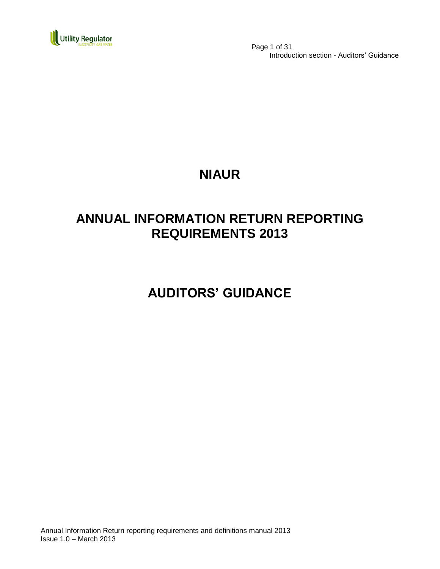

 Page 1 of 31 Introduction section - Auditors' Guidance

## **NIAUR**

## **ANNUAL INFORMATION RETURN REPORTING REQUIREMENTS 2013**

**AUDITORS' GUIDANCE**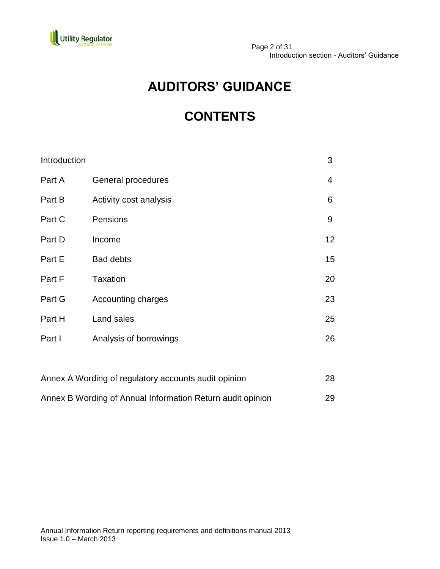

# **AUDITORS' GUIDANCE**

# **CONTENTS**

| Introduction                                         |                           | 3              |
|------------------------------------------------------|---------------------------|----------------|
| Part A                                               | General procedures        | $\overline{4}$ |
| Part B                                               | Activity cost analysis    | 6              |
| Part C                                               | Pensions                  | 9              |
| Part D                                               | Income                    | 12             |
| Part E                                               | <b>Bad debts</b>          | 15             |
| Part F                                               | <b>Taxation</b>           | 20             |
| Part G                                               | <b>Accounting charges</b> | 23             |
| Part H                                               | Land sales                | 25             |
| Part I                                               | Analysis of borrowings    | 26             |
|                                                      |                           |                |
| Annex A Wording of regulatory accounts audit opinion |                           | 28             |

| Annex B Wording of Annual Information Return audit opinion | 29 |
|------------------------------------------------------------|----|
|                                                            |    |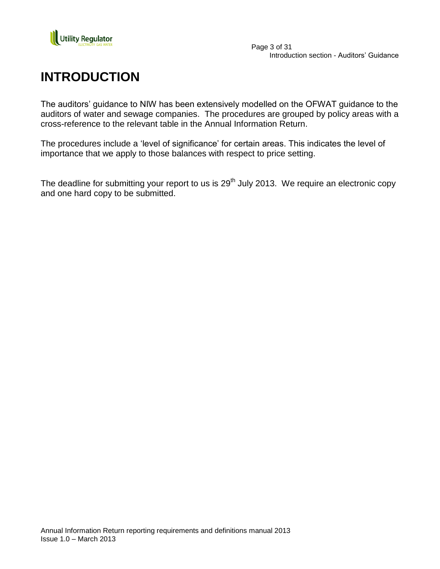

## **INTRODUCTION**

The auditors' guidance to NIW has been extensively modelled on the OFWAT guidance to the auditors of water and sewage companies. The procedures are grouped by policy areas with a cross-reference to the relevant table in the Annual Information Return.

The procedures include a "level of significance" for certain areas. This indicates the level of importance that we apply to those balances with respect to price setting.

The deadline for submitting your report to us is 29<sup>th</sup> July 2013. We require an electronic copy and one hard copy to be submitted.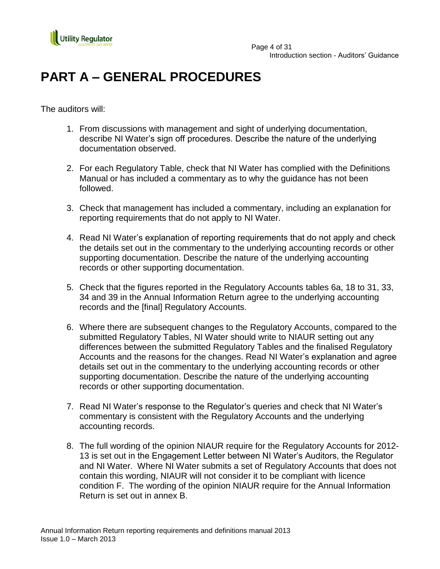

# **PART A – GENERAL PROCEDURES**

The auditors will:

- 1. From discussions with management and sight of underlying documentation, describe NI Water"s sign off procedures. Describe the nature of the underlying documentation observed.
- 2. For each Regulatory Table, check that NI Water has complied with the Definitions Manual or has included a commentary as to why the guidance has not been followed.
- 3. Check that management has included a commentary, including an explanation for reporting requirements that do not apply to NI Water.
- 4. Read NI Water"s explanation of reporting requirements that do not apply and check the details set out in the commentary to the underlying accounting records or other supporting documentation. Describe the nature of the underlying accounting records or other supporting documentation.
- 5. Check that the figures reported in the Regulatory Accounts tables 6a, 18 to 31, 33, 34 and 39 in the Annual Information Return agree to the underlying accounting records and the [final] Regulatory Accounts.
- 6. Where there are subsequent changes to the Regulatory Accounts, compared to the submitted Regulatory Tables, NI Water should write to NIAUR setting out any differences between the submitted Regulatory Tables and the finalised Regulatory Accounts and the reasons for the changes. Read NI Water"s explanation and agree details set out in the commentary to the underlying accounting records or other supporting documentation. Describe the nature of the underlying accounting records or other supporting documentation.
- 7. Read NI Water"s response to the Regulator"s queries and check that NI Water"s commentary is consistent with the Regulatory Accounts and the underlying accounting records.
- 8. The full wording of the opinion NIAUR require for the Regulatory Accounts for 2012- 13 is set out in the Engagement Letter between NI Water"s Auditors, the Regulator and NI Water. Where NI Water submits a set of Regulatory Accounts that does not contain this wording, NIAUR will not consider it to be compliant with licence condition F. The wording of the opinion NIAUR require for the Annual Information Return is set out in annex B.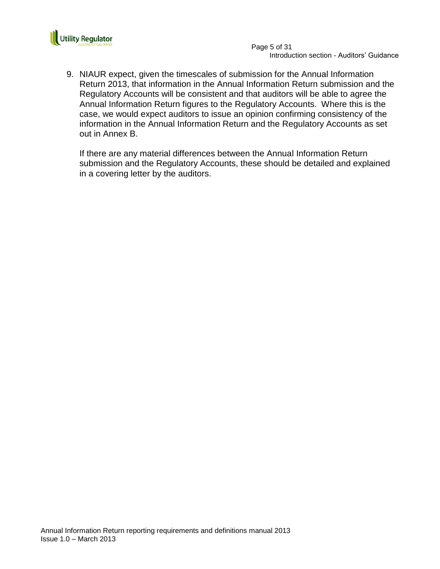

 Page 5 of 31 Introduction section - Auditors' Guidance

9. NIAUR expect, given the timescales of submission for the Annual Information Return 2013, that information in the Annual Information Return submission and the Regulatory Accounts will be consistent and that auditors will be able to agree the Annual Information Return figures to the Regulatory Accounts. Where this is the case, we would expect auditors to issue an opinion confirming consistency of the information in the Annual Information Return and the Regulatory Accounts as set out in Annex B.

If there are any material differences between the Annual Information Return submission and the Regulatory Accounts, these should be detailed and explained in a covering letter by the auditors.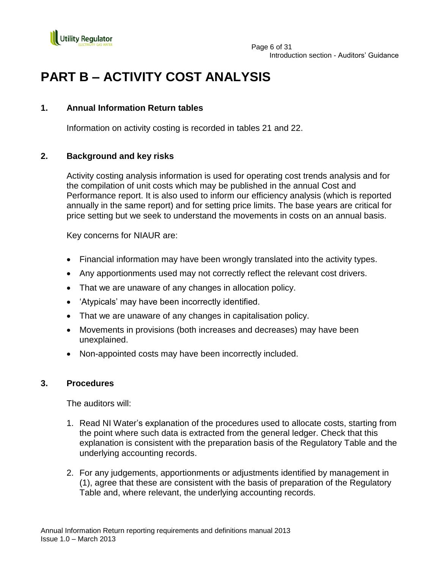

## **PART B – ACTIVITY COST ANALYSIS**

## **1. Annual Information Return tables**

Information on activity costing is recorded in tables 21 and 22.

## **2. Background and key risks**

Activity costing analysis information is used for operating cost trends analysis and for the compilation of unit costs which may be published in the annual Cost and Performance report. It is also used to inform our efficiency analysis (which is reported annually in the same report) and for setting price limits. The base years are critical for price setting but we seek to understand the movements in costs on an annual basis.

Key concerns for NIAUR are:

- Financial information may have been wrongly translated into the activity types.
- Any apportionments used may not correctly reflect the relevant cost drivers.
- That we are unaware of any changes in allocation policy.
- 'Atypicals' may have been incorrectly identified.
- That we are unaware of any changes in capitalisation policy.
- Movements in provisions (both increases and decreases) may have been unexplained.
- Non-appointed costs may have been incorrectly included.

## **3. Procedures**

The auditors will:

- 1. Read NI Water"s explanation of the procedures used to allocate costs, starting from the point where such data is extracted from the general ledger. Check that this explanation is consistent with the preparation basis of the Regulatory Table and the underlying accounting records.
- 2. For any judgements, apportionments or adjustments identified by management in (1), agree that these are consistent with the basis of preparation of the Regulatory Table and, where relevant, the underlying accounting records.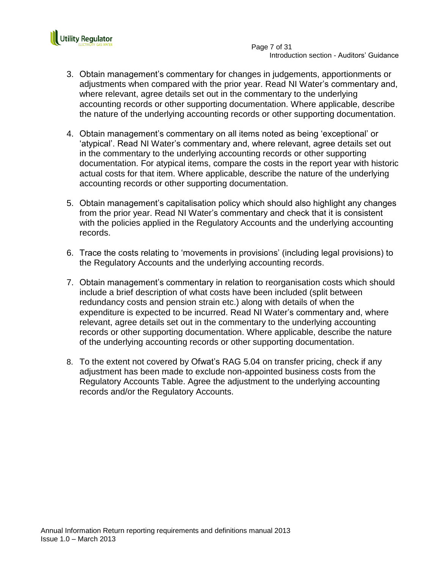

- 3. Obtain management"s commentary for changes in judgements, apportionments or adjustments when compared with the prior year. Read NI Water"s commentary and, where relevant, agree details set out in the commentary to the underlying accounting records or other supporting documentation. Where applicable, describe the nature of the underlying accounting records or other supporting documentation.
- 4. Obtain management"s commentary on all items noted as being "exceptional" or "atypical". Read NI Water"s commentary and, where relevant, agree details set out in the commentary to the underlying accounting records or other supporting documentation. For atypical items, compare the costs in the report year with historic actual costs for that item. Where applicable, describe the nature of the underlying accounting records or other supporting documentation.
- 5. Obtain management"s capitalisation policy which should also highlight any changes from the prior year. Read NI Water"s commentary and check that it is consistent with the policies applied in the Regulatory Accounts and the underlying accounting records.
- 6. Trace the costs relating to "movements in provisions" (including legal provisions) to the Regulatory Accounts and the underlying accounting records.
- 7. Obtain management"s commentary in relation to reorganisation costs which should include a brief description of what costs have been included (split between redundancy costs and pension strain etc.) along with details of when the expenditure is expected to be incurred. Read NI Water"s commentary and, where relevant, agree details set out in the commentary to the underlying accounting records or other supporting documentation. Where applicable, describe the nature of the underlying accounting records or other supporting documentation.
- 8. To the extent not covered by Ofwat"s RAG 5.04 on transfer pricing, check if any adjustment has been made to exclude non-appointed business costs from the Regulatory Accounts Table. Agree the adjustment to the underlying accounting records and/or the Regulatory Accounts.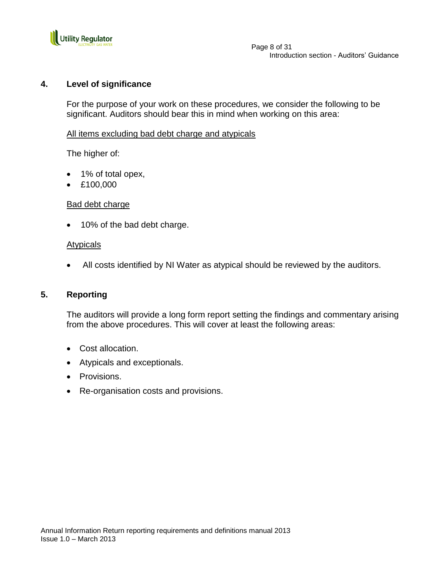

## **4. Level of significance**

For the purpose of your work on these procedures, we consider the following to be significant. Auditors should bear this in mind when working on this area:

### All items excluding bad debt charge and atypicals

The higher of:

- 1% of total opex,
- £100,000

### Bad debt charge

• 10% of the bad debt charge.

### **Atypicals**

All costs identified by NI Water as atypical should be reviewed by the auditors.

### **5. Reporting**

- Cost allocation.
- Atypicals and exceptionals.
- Provisions.
- Re-organisation costs and provisions.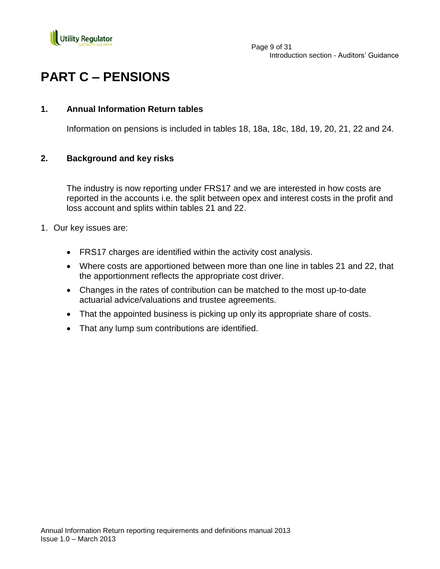

# **PART C – PENSIONS**

## **1. Annual Information Return tables**

Information on pensions is included in tables 18, 18a, 18c, 18d, 19, 20, 21, 22 and 24.

## **2. Background and key risks**

The industry is now reporting under FRS17 and we are interested in how costs are reported in the accounts i.e. the split between opex and interest costs in the profit and loss account and splits within tables 21 and 22.

- 1. Our key issues are:
	- FRS17 charges are identified within the activity cost analysis.
	- Where costs are apportioned between more than one line in tables 21 and 22, that the apportionment reflects the appropriate cost driver.
	- Changes in the rates of contribution can be matched to the most up-to-date actuarial advice/valuations and trustee agreements.
	- That the appointed business is picking up only its appropriate share of costs.
	- That any lump sum contributions are identified.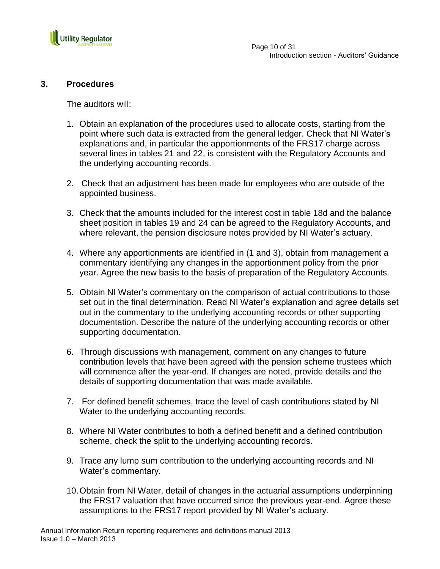

## **3. Procedures**

The auditors will:

- 1. Obtain an explanation of the procedures used to allocate costs, starting from the point where such data is extracted from the general ledger. Check that NI Water"s explanations and, in particular the apportionments of the FRS17 charge across several lines in tables 21 and 22, is consistent with the Regulatory Accounts and the underlying accounting records.
- 2. Check that an adjustment has been made for employees who are outside of the appointed business.
- 3. Check that the amounts included for the interest cost in table 18d and the balance sheet position in tables 19 and 24 can be agreed to the Regulatory Accounts, and where relevant, the pension disclosure notes provided by NI Water's actuary.
- 4. Where any apportionments are identified in (1 and 3), obtain from management a commentary identifying any changes in the apportionment policy from the prior year. Agree the new basis to the basis of preparation of the Regulatory Accounts.
- 5. Obtain NI Water"s commentary on the comparison of actual contributions to those set out in the final determination. Read NI Water"s explanation and agree details set out in the commentary to the underlying accounting records or other supporting documentation. Describe the nature of the underlying accounting records or other supporting documentation.
- 6. Through discussions with management, comment on any changes to future contribution levels that have been agreed with the pension scheme trustees which will commence after the year-end. If changes are noted, provide details and the details of supporting documentation that was made available.
- 7. For defined benefit schemes, trace the level of cash contributions stated by NI Water to the underlying accounting records.
- 8. Where NI Water contributes to both a defined benefit and a defined contribution scheme, check the split to the underlying accounting records.
- 9. Trace any lump sum contribution to the underlying accounting records and NI Water"s commentary.
- 10.Obtain from NI Water, detail of changes in the actuarial assumptions underpinning the FRS17 valuation that have occurred since the previous year-end. Agree these assumptions to the FRS17 report provided by NI Water"s actuary.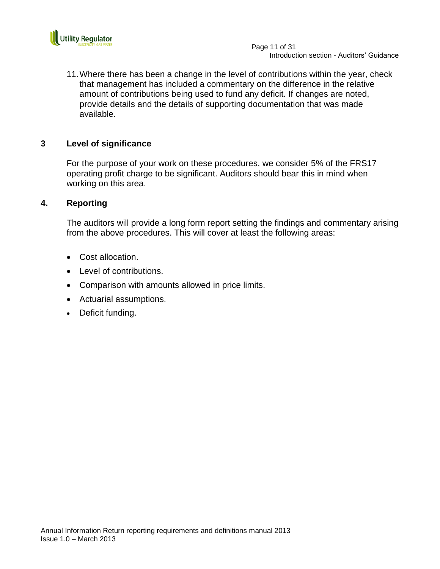

11.Where there has been a change in the level of contributions within the year, check that management has included a commentary on the difference in the relative amount of contributions being used to fund any deficit. If changes are noted, provide details and the details of supporting documentation that was made available.

## **3 Level of significance**

For the purpose of your work on these procedures, we consider 5% of the FRS17 operating profit charge to be significant. Auditors should bear this in mind when working on this area.

### **4. Reporting**

- Cost allocation.
- Level of contributions.
- Comparison with amounts allowed in price limits.
- Actuarial assumptions.
- Deficit funding.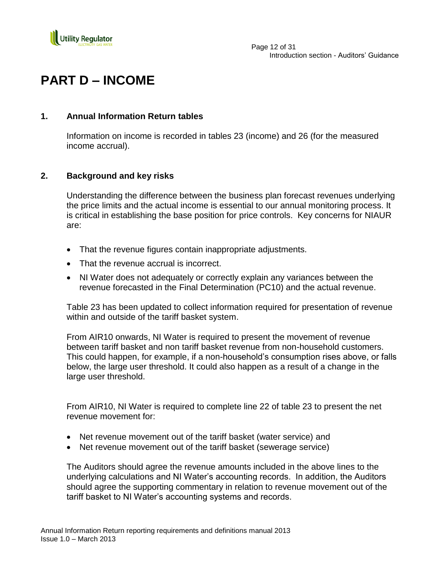

## **PART D – INCOME**

## **1. Annual Information Return tables**

Information on income is recorded in tables 23 (income) and 26 (for the measured income accrual).

## **2. Background and key risks**

Understanding the difference between the business plan forecast revenues underlying the price limits and the actual income is essential to our annual monitoring process. It is critical in establishing the base position for price controls. Key concerns for NIAUR are:

- That the revenue figures contain inappropriate adjustments.
- That the revenue accrual is incorrect.
- NI Water does not adequately or correctly explain any variances between the revenue forecasted in the Final Determination (PC10) and the actual revenue.

Table 23 has been updated to collect information required for presentation of revenue within and outside of the tariff basket system.

From AIR10 onwards, NI Water is required to present the movement of revenue between tariff basket and non tariff basket revenue from non-household customers. This could happen, for example, if a non-household"s consumption rises above, or falls below, the large user threshold. It could also happen as a result of a change in the large user threshold.

From AIR10, NI Water is required to complete line 22 of table 23 to present the net revenue movement for:

- Net revenue movement out of the tariff basket (water service) and
- Net revenue movement out of the tariff basket (sewerage service)

The Auditors should agree the revenue amounts included in the above lines to the underlying calculations and NI Water"s accounting records. In addition, the Auditors should agree the supporting commentary in relation to revenue movement out of the tariff basket to NI Water"s accounting systems and records.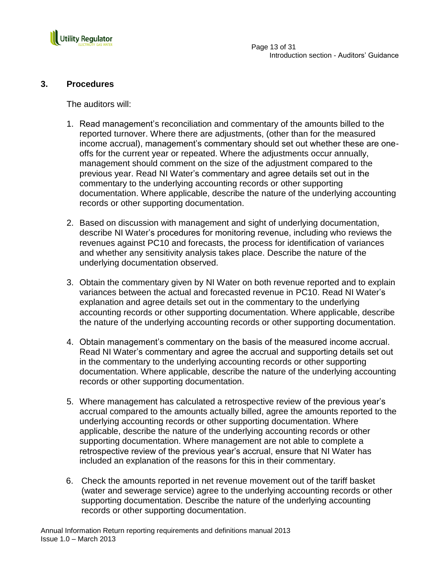

## **3. Procedures**

The auditors will:

- 1. Read management"s reconciliation and commentary of the amounts billed to the reported turnover. Where there are adjustments, (other than for the measured income accrual), management's commentary should set out whether these are oneoffs for the current year or repeated. Where the adjustments occur annually, management should comment on the size of the adjustment compared to the previous year. Read NI Water"s commentary and agree details set out in the commentary to the underlying accounting records or other supporting documentation. Where applicable, describe the nature of the underlying accounting records or other supporting documentation.
- 2. Based on discussion with management and sight of underlying documentation, describe NI Water"s procedures for monitoring revenue, including who reviews the revenues against PC10 and forecasts, the process for identification of variances and whether any sensitivity analysis takes place. Describe the nature of the underlying documentation observed.
- 3. Obtain the commentary given by NI Water on both revenue reported and to explain variances between the actual and forecasted revenue in PC10. Read NI Water"s explanation and agree details set out in the commentary to the underlying accounting records or other supporting documentation. Where applicable, describe the nature of the underlying accounting records or other supporting documentation.
- 4. Obtain management"s commentary on the basis of the measured income accrual. Read NI Water"s commentary and agree the accrual and supporting details set out in the commentary to the underlying accounting records or other supporting documentation. Where applicable, describe the nature of the underlying accounting records or other supporting documentation.
- 5. Where management has calculated a retrospective review of the previous year"s accrual compared to the amounts actually billed, agree the amounts reported to the underlying accounting records or other supporting documentation. Where applicable, describe the nature of the underlying accounting records or other supporting documentation. Where management are not able to complete a retrospective review of the previous year"s accrual, ensure that NI Water has included an explanation of the reasons for this in their commentary.
- 6. Check the amounts reported in net revenue movement out of the tariff basket (water and sewerage service) agree to the underlying accounting records or other supporting documentation. Describe the nature of the underlying accounting records or other supporting documentation.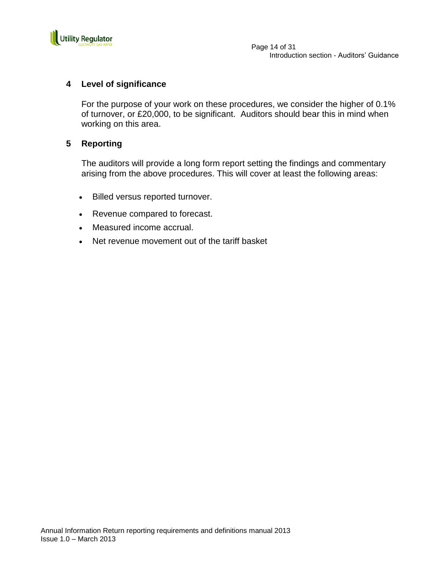

 Page 14 of 31 Introduction section - Auditors' Guidance

## **4 Level of significance**

For the purpose of your work on these procedures, we consider the higher of 0.1% of turnover, or £20,000, to be significant. Auditors should bear this in mind when working on this area.

### **5 Reporting**

- Billed versus reported turnover.
- Revenue compared to forecast.
- Measured income accrual.
- Net revenue movement out of the tariff basket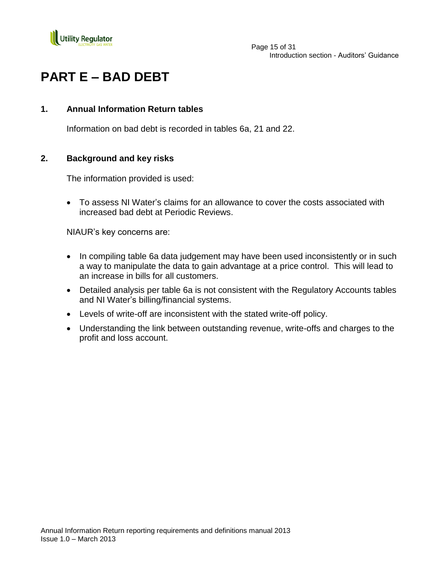

# **PART E – BAD DEBT**

## **1. Annual Information Return tables**

Information on bad debt is recorded in tables 6a, 21 and 22.

## **2. Background and key risks**

The information provided is used:

 To assess NI Water"s claims for an allowance to cover the costs associated with increased bad debt at Periodic Reviews.

NIAUR"s key concerns are:

- In compiling table 6a data judgement may have been used inconsistently or in such a way to manipulate the data to gain advantage at a price control. This will lead to an increase in bills for all customers.
- Detailed analysis per table 6a is not consistent with the Regulatory Accounts tables and NI Water"s billing/financial systems.
- Levels of write-off are inconsistent with the stated write-off policy.
- Understanding the link between outstanding revenue, write-offs and charges to the profit and loss account.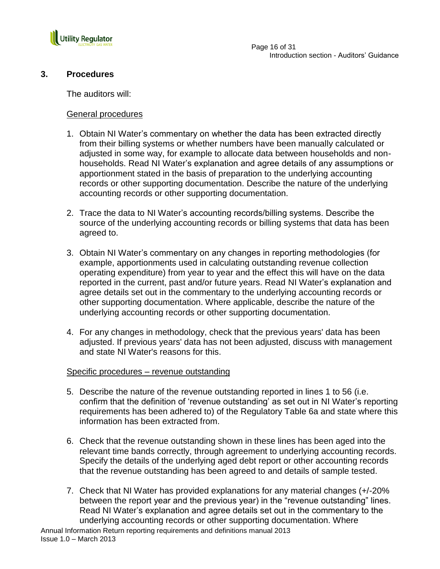

## **3. Procedures**

The auditors will:

### General procedures

- 1. Obtain NI Water"s commentary on whether the data has been extracted directly from their billing systems or whether numbers have been manually calculated or adjusted in some way, for example to allocate data between households and nonhouseholds. Read NI Water"s explanation and agree details of any assumptions or apportionment stated in the basis of preparation to the underlying accounting records or other supporting documentation. Describe the nature of the underlying accounting records or other supporting documentation.
- 2. Trace the data to NI Water"s accounting records/billing systems. Describe the source of the underlying accounting records or billing systems that data has been agreed to.
- 3. Obtain NI Water"s commentary on any changes in reporting methodologies (for example, apportionments used in calculating outstanding revenue collection operating expenditure) from year to year and the effect this will have on the data reported in the current, past and/or future years. Read NI Water"s explanation and agree details set out in the commentary to the underlying accounting records or other supporting documentation. Where applicable, describe the nature of the underlying accounting records or other supporting documentation.
- 4. For any changes in methodology, check that the previous years' data has been adjusted. If previous years' data has not been adjusted, discuss with management and state NI Water's reasons for this.

### Specific procedures – revenue outstanding

- 5. Describe the nature of the revenue outstanding reported in lines 1 to 56 (i.e. confirm that the definition of "revenue outstanding" as set out in NI Water"s reporting requirements has been adhered to) of the Regulatory Table 6a and state where this information has been extracted from.
- 6. Check that the revenue outstanding shown in these lines has been aged into the relevant time bands correctly, through agreement to underlying accounting records. Specify the details of the underlying aged debt report or other accounting records that the revenue outstanding has been agreed to and details of sample tested.
- 7. Check that NI Water has provided explanations for any material changes (+/-20% between the report year and the previous year) in the "revenue outstanding" lines. Read NI Water"s explanation and agree details set out in the commentary to the underlying accounting records or other supporting documentation. Where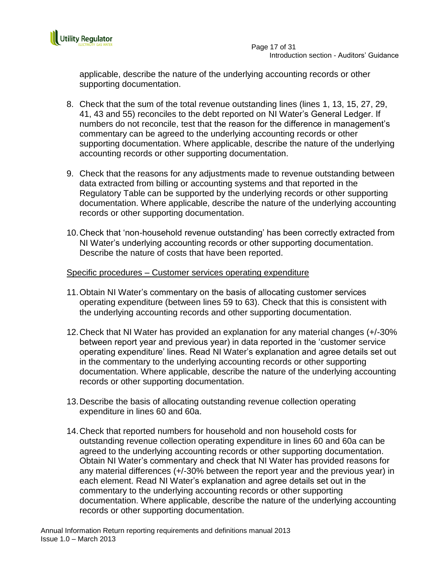

applicable, describe the nature of the underlying accounting records or other supporting documentation.

- 8. Check that the sum of the total revenue outstanding lines (lines 1, 13, 15, 27, 29, 41, 43 and 55) reconciles to the debt reported on NI Water"s General Ledger. If numbers do not reconcile, test that the reason for the difference in management"s commentary can be agreed to the underlying accounting records or other supporting documentation. Where applicable, describe the nature of the underlying accounting records or other supporting documentation.
- 9. Check that the reasons for any adjustments made to revenue outstanding between data extracted from billing or accounting systems and that reported in the Regulatory Table can be supported by the underlying records or other supporting documentation. Where applicable, describe the nature of the underlying accounting records or other supporting documentation.
- 10.Check that "non-household revenue outstanding" has been correctly extracted from NI Water"s underlying accounting records or other supporting documentation. Describe the nature of costs that have been reported.

## Specific procedures – Customer services operating expenditure

- 11.Obtain NI Water"s commentary on the basis of allocating customer services operating expenditure (between lines 59 to 63). Check that this is consistent with the underlying accounting records and other supporting documentation.
- 12.Check that NI Water has provided an explanation for any material changes (+/-30% between report year and previous year) in data reported in the "customer service operating expenditure" lines. Read NI Water"s explanation and agree details set out in the commentary to the underlying accounting records or other supporting documentation. Where applicable, describe the nature of the underlying accounting records or other supporting documentation.
- 13.Describe the basis of allocating outstanding revenue collection operating expenditure in lines 60 and 60a.
- 14.Check that reported numbers for household and non household costs for outstanding revenue collection operating expenditure in lines 60 and 60a can be agreed to the underlying accounting records or other supporting documentation. Obtain NI Water"s commentary and check that NI Water has provided reasons for any material differences (+/-30% between the report year and the previous year) in each element. Read NI Water"s explanation and agree details set out in the commentary to the underlying accounting records or other supporting documentation. Where applicable, describe the nature of the underlying accounting records or other supporting documentation.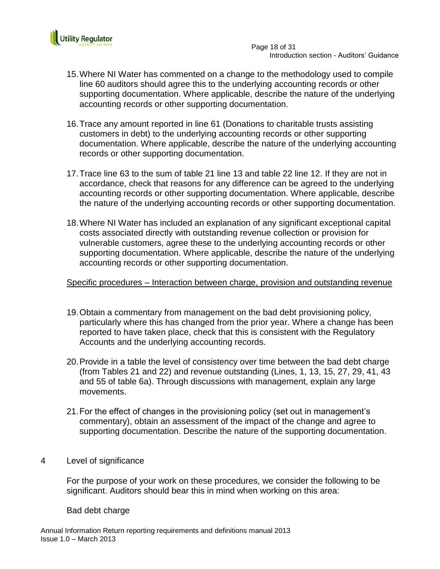

- 15.Where NI Water has commented on a change to the methodology used to compile line 60 auditors should agree this to the underlying accounting records or other supporting documentation. Where applicable, describe the nature of the underlying accounting records or other supporting documentation.
- 16.Trace any amount reported in line 61 (Donations to charitable trusts assisting customers in debt) to the underlying accounting records or other supporting documentation. Where applicable, describe the nature of the underlying accounting records or other supporting documentation.
- 17.Trace line 63 to the sum of table 21 line 13 and table 22 line 12. If they are not in accordance, check that reasons for any difference can be agreed to the underlying accounting records or other supporting documentation. Where applicable, describe the nature of the underlying accounting records or other supporting documentation.
- 18.Where NI Water has included an explanation of any significant exceptional capital costs associated directly with outstanding revenue collection or provision for vulnerable customers, agree these to the underlying accounting records or other supporting documentation. Where applicable, describe the nature of the underlying accounting records or other supporting documentation.

Specific procedures – Interaction between charge, provision and outstanding revenue

- 19.Obtain a commentary from management on the bad debt provisioning policy, particularly where this has changed from the prior year. Where a change has been reported to have taken place, check that this is consistent with the Regulatory Accounts and the underlying accounting records.
- 20.Provide in a table the level of consistency over time between the bad debt charge (from Tables 21 and 22) and revenue outstanding (Lines, 1, 13, 15, 27, 29, 41, 43 and 55 of table 6a). Through discussions with management, explain any large movements.
- 21.For the effect of changes in the provisioning policy (set out in management"s commentary), obtain an assessment of the impact of the change and agree to supporting documentation. Describe the nature of the supporting documentation.
- 4 Level of significance

For the purpose of your work on these procedures, we consider the following to be significant. Auditors should bear this in mind when working on this area:

Bad debt charge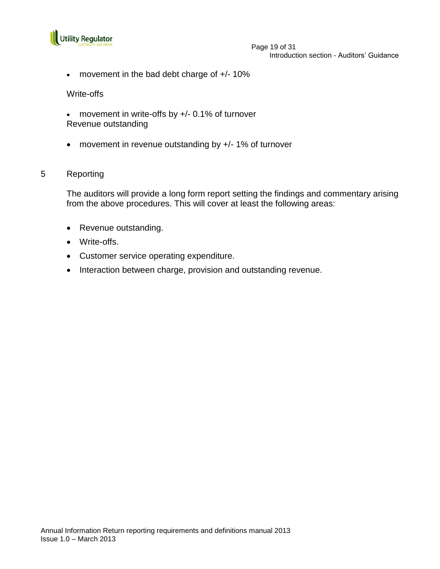

#### Page 19 of 31 Introduction section - Auditors' Guidance

movement in the bad debt charge of +/- 10%

#### Write-offs

- movement in write-offs by +/- 0.1% of turnover Revenue outstanding
- movement in revenue outstanding by +/- 1% of turnover

### 5 Reporting

- Revenue outstanding.
- Write-offs.
- Customer service operating expenditure.
- Interaction between charge, provision and outstanding revenue.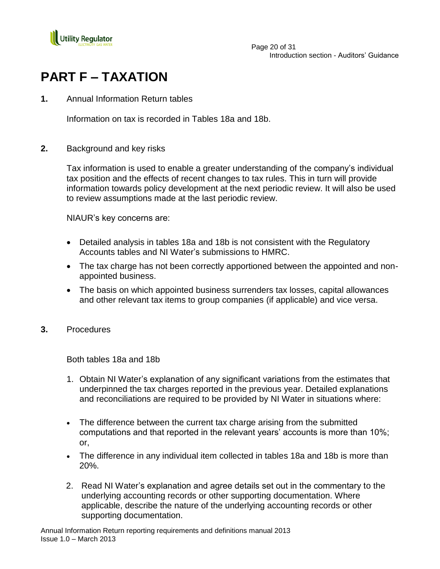

# **PART F – TAXATION**

**1.** Annual Information Return tables

Information on tax is recorded in Tables 18a and 18b.

**2.** Background and key risks

Tax information is used to enable a greater understanding of the company"s individual tax position and the effects of recent changes to tax rules. This in turn will provide information towards policy development at the next periodic review. It will also be used to review assumptions made at the last periodic review.

NIAUR"s key concerns are:

- Detailed analysis in tables 18a and 18b is not consistent with the Regulatory Accounts tables and NI Water"s submissions to HMRC.
- The tax charge has not been correctly apportioned between the appointed and nonappointed business.
- The basis on which appointed business surrenders tax losses, capital allowances and other relevant tax items to group companies (if applicable) and vice versa.
- **3.** Procedures

Both tables 18a and 18b

- 1. Obtain NI Water"s explanation of any significant variations from the estimates that underpinned the tax charges reported in the previous year. Detailed explanations and reconciliations are required to be provided by NI Water in situations where:
- The difference between the current tax charge arising from the submitted computations and that reported in the relevant years" accounts is more than 10%; or,
- The difference in any individual item collected in tables 18a and 18b is more than 20%.
- 2. Read NI Water"s explanation and agree details set out in the commentary to the underlying accounting records or other supporting documentation. Where applicable, describe the nature of the underlying accounting records or other supporting documentation.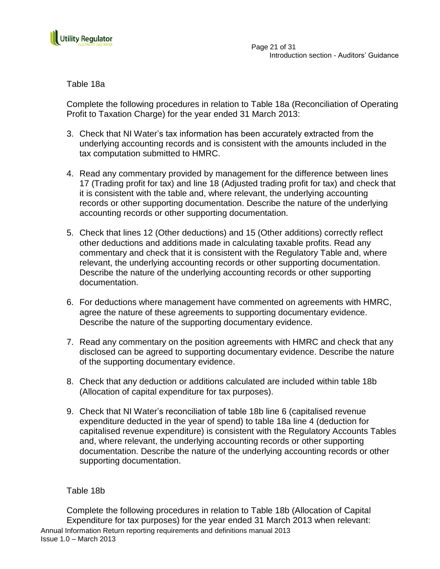

Table 18a

Complete the following procedures in relation to Table 18a (Reconciliation of Operating Profit to Taxation Charge) for the year ended 31 March 2013:

- 3. Check that NI Water"s tax information has been accurately extracted from the underlying accounting records and is consistent with the amounts included in the tax computation submitted to HMRC.
- 4. Read any commentary provided by management for the difference between lines 17 (Trading profit for tax) and line 18 (Adjusted trading profit for tax) and check that it is consistent with the table and, where relevant, the underlying accounting records or other supporting documentation. Describe the nature of the underlying accounting records or other supporting documentation.
- 5. Check that lines 12 (Other deductions) and 15 (Other additions) correctly reflect other deductions and additions made in calculating taxable profits. Read any commentary and check that it is consistent with the Regulatory Table and, where relevant, the underlying accounting records or other supporting documentation. Describe the nature of the underlying accounting records or other supporting documentation.
- 6. For deductions where management have commented on agreements with HMRC, agree the nature of these agreements to supporting documentary evidence. Describe the nature of the supporting documentary evidence.
- 7. Read any commentary on the position agreements with HMRC and check that any disclosed can be agreed to supporting documentary evidence. Describe the nature of the supporting documentary evidence.
- 8. Check that any deduction or additions calculated are included within table 18b (Allocation of capital expenditure for tax purposes).
- 9. Check that NI Water"s reconciliation of table 18b line 6 (capitalised revenue expenditure deducted in the year of spend) to table 18a line 4 (deduction for capitalised revenue expenditure) is consistent with the Regulatory Accounts Tables and, where relevant, the underlying accounting records or other supporting documentation. Describe the nature of the underlying accounting records or other supporting documentation.

## Table 18b

Annual Information Return reporting requirements and definitions manual 2013 Issue 1.0 – March 2013 Complete the following procedures in relation to Table 18b (Allocation of Capital Expenditure for tax purposes) for the year ended 31 March 2013 when relevant: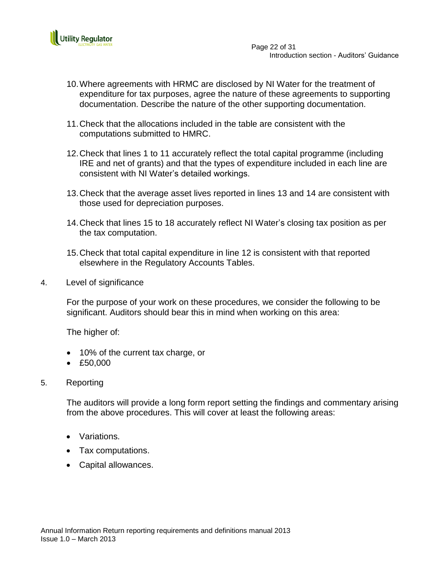

 Page 22 of 31 Introduction section - Auditors' Guidance

- 10.Where agreements with HRMC are disclosed by NI Water for the treatment of expenditure for tax purposes, agree the nature of these agreements to supporting documentation. Describe the nature of the other supporting documentation.
- 11.Check that the allocations included in the table are consistent with the computations submitted to HMRC.
- 12.Check that lines 1 to 11 accurately reflect the total capital programme (including IRE and net of grants) and that the types of expenditure included in each line are consistent with NI Water"s detailed workings.
- 13.Check that the average asset lives reported in lines 13 and 14 are consistent with those used for depreciation purposes.
- 14.Check that lines 15 to 18 accurately reflect NI Water"s closing tax position as per the tax computation.
- 15.Check that total capital expenditure in line 12 is consistent with that reported elsewhere in the Regulatory Accounts Tables.
- 4. Level of significance

For the purpose of your work on these procedures, we consider the following to be significant. Auditors should bear this in mind when working on this area:

The higher of:

- 10% of the current tax charge, or
- £50,000

### 5. Reporting

- Variations.
- Tax computations.
- Capital allowances.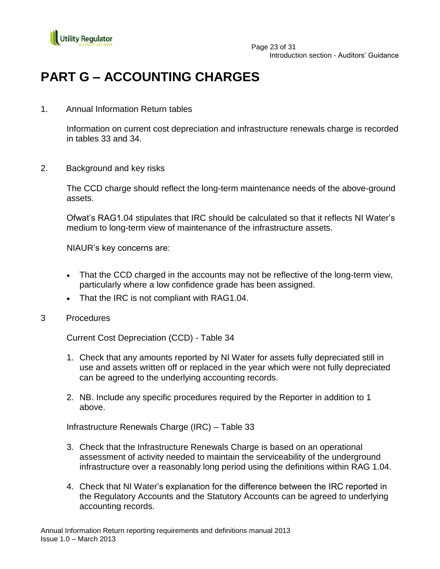

 Page 23 of 31 Introduction section - Auditors' Guidance

## **PART G – ACCOUNTING CHARGES**

1. Annual Information Return tables

Information on current cost depreciation and infrastructure renewals charge is recorded in tables 33 and 34.

2. Background and key risks

The CCD charge should reflect the long-term maintenance needs of the above-ground assets.

Ofwat"s RAG1.04 stipulates that IRC should be calculated so that it reflects NI Water"s medium to long-term view of maintenance of the infrastructure assets.

NIAUR"s key concerns are:

- That the CCD charged in the accounts may not be reflective of the long-term view, particularly where a low confidence grade has been assigned.
- That the IRC is not compliant with RAG1.04.
- 3 Procedures

Current Cost Depreciation (CCD) - Table 34

- 1. Check that any amounts reported by NI Water for assets fully depreciated still in use and assets written off or replaced in the year which were not fully depreciated can be agreed to the underlying accounting records.
- 2. NB. Include any specific procedures required by the Reporter in addition to 1 above.

Infrastructure Renewals Charge (IRC) – Table 33

- 3. Check that the Infrastructure Renewals Charge is based on an operational assessment of activity needed to maintain the serviceability of the underground infrastructure over a reasonably long period using the definitions within RAG 1.04.
- 4. Check that NI Water"s explanation for the difference between the IRC reported in the Regulatory Accounts and the Statutory Accounts can be agreed to underlying accounting records.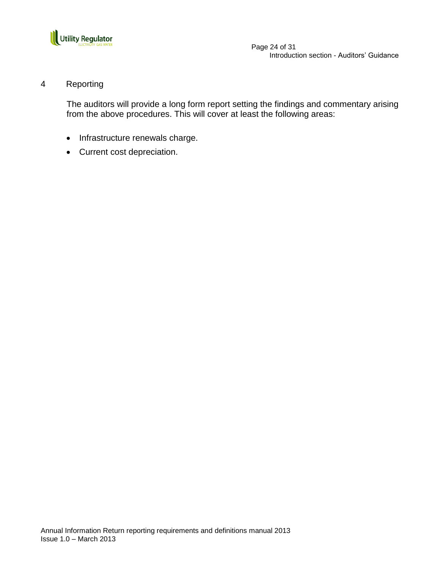

 Page 24 of 31 Introduction section - Auditors' Guidance

## 4 Reporting

- Infrastructure renewals charge.
- Current cost depreciation.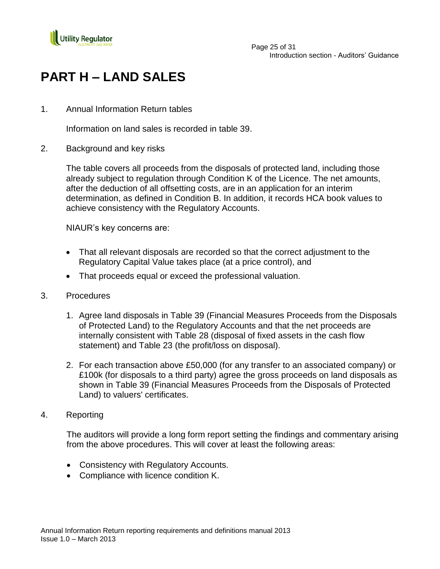

# **PART H – LAND SALES**

1. Annual Information Return tables

Information on land sales is recorded in table 39.

2. Background and key risks

The table covers all proceeds from the disposals of protected land, including those already subject to regulation through Condition K of the Licence. The net amounts, after the deduction of all offsetting costs, are in an application for an interim determination, as defined in Condition B. In addition, it records HCA book values to achieve consistency with the Regulatory Accounts.

NIAUR"s key concerns are:

- That all relevant disposals are recorded so that the correct adjustment to the Regulatory Capital Value takes place (at a price control), and
- That proceeds equal or exceed the professional valuation.
- 3. Procedures
	- 1. Agree land disposals in Table 39 (Financial Measures Proceeds from the Disposals of Protected Land) to the Regulatory Accounts and that the net proceeds are internally consistent with Table 28 (disposal of fixed assets in the cash flow statement) and Table 23 (the profit/loss on disposal).
	- 2. For each transaction above £50,000 (for any transfer to an associated company) or £100k (for disposals to a third party) agree the gross proceeds on land disposals as shown in Table 39 (Financial Measures Proceeds from the Disposals of Protected Land) to valuers' certificates.
- 4. Reporting

- Consistency with Regulatory Accounts.
- Compliance with licence condition K.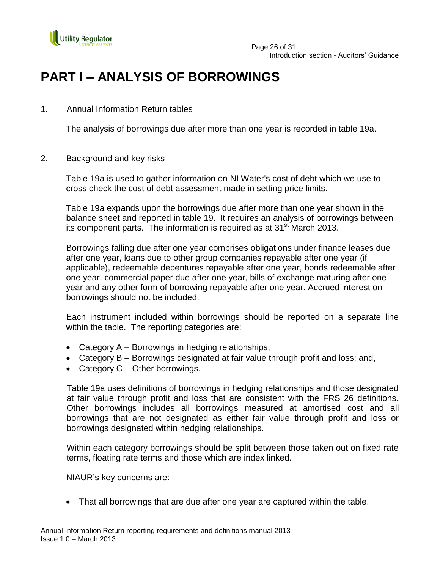

 Page 26 of 31 Introduction section - Auditors' Guidance

## **PART I – ANALYSIS OF BORROWINGS**

## 1. Annual Information Return tables

The analysis of borrowings due after more than one year is recorded in table 19a.

2. Background and key risks

Table 19a is used to gather information on NI Water's cost of debt which we use to cross check the cost of debt assessment made in setting price limits.

Table 19a expands upon the borrowings due after more than one year shown in the balance sheet and reported in table 19. It requires an analysis of borrowings between its component parts. The information is required as at  $31<sup>st</sup>$  March 2013.

Borrowings falling due after one year comprises obligations under finance leases due after one year, loans due to other group companies repayable after one year (if applicable), redeemable debentures repayable after one year, bonds redeemable after one year, commercial paper due after one year, bills of exchange maturing after one year and any other form of borrowing repayable after one year. Accrued interest on borrowings should not be included.

Each instrument included within borrowings should be reported on a separate line within the table. The reporting categories are:

- Category  $A B$ orrowings in hedging relationships;
- Category B Borrowings designated at fair value through profit and loss; and,
- Category  $C -$  Other borrowings.

Table 19a uses definitions of borrowings in hedging relationships and those designated at fair value through profit and loss that are consistent with the FRS 26 definitions. Other borrowings includes all borrowings measured at amortised cost and all borrowings that are not designated as either fair value through profit and loss or borrowings designated within hedging relationships.

Within each category borrowings should be split between those taken out on fixed rate terms, floating rate terms and those which are index linked.

NIAUR"s key concerns are:

• That all borrowings that are due after one year are captured within the table.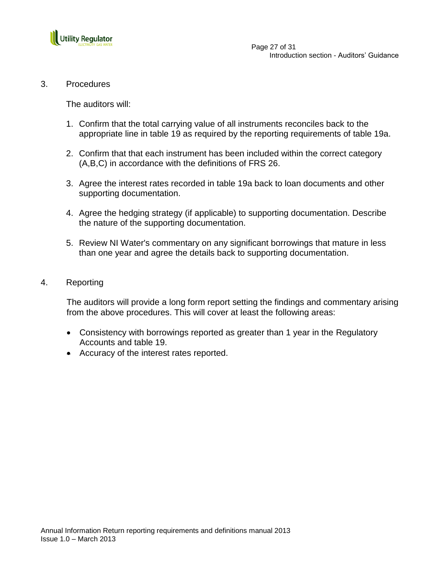

3. Procedures

The auditors will:

- 1. Confirm that the total carrying value of all instruments reconciles back to the appropriate line in table 19 as required by the reporting requirements of table 19a.
- 2. Confirm that that each instrument has been included within the correct category (A,B,C) in accordance with the definitions of FRS 26.
- 3. Agree the interest rates recorded in table 19a back to loan documents and other supporting documentation.
- 4. Agree the hedging strategy (if applicable) to supporting documentation. Describe the nature of the supporting documentation.
- 5. Review NI Water's commentary on any significant borrowings that mature in less than one year and agree the details back to supporting documentation.
- 4. Reporting

- Consistency with borrowings reported as greater than 1 year in the Regulatory Accounts and table 19.
- Accuracy of the interest rates reported.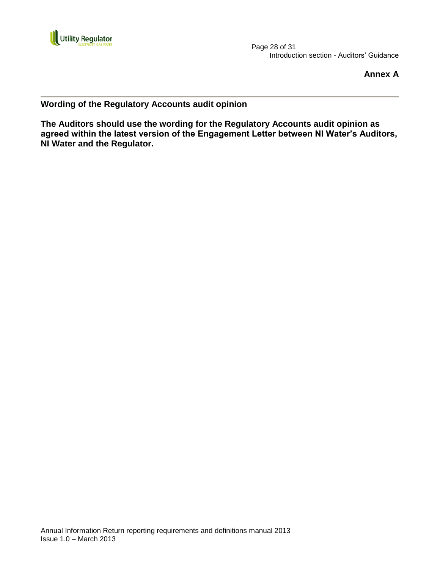

 Page 28 of 31 Introduction section - Auditors' Guidance

**Annex A**

**Wording of the Regulatory Accounts audit opinion**

**The Auditors should use the wording for the Regulatory Accounts audit opinion as agreed within the latest version of the Engagement Letter between NI Water's Auditors, NI Water and the Regulator.**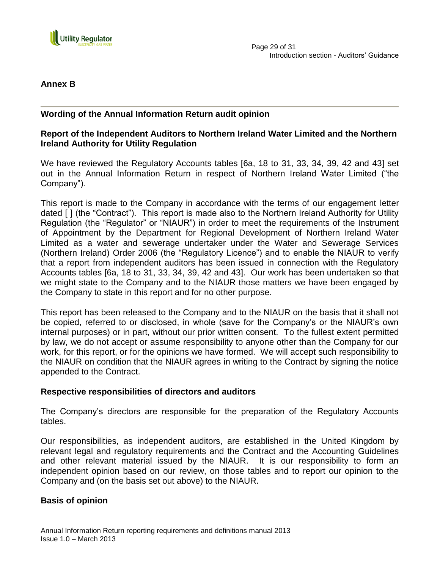

## **Annex B**

## **Wording of the Annual Information Return audit opinion**

## **Report of the Independent Auditors to Northern Ireland Water Limited and the Northern Ireland Authority for Utility Regulation**

We have reviewed the Regulatory Accounts tables [6a, 18 to 31, 33, 34, 39, 42 and 43] set out in the Annual Information Return in respect of Northern Ireland Water Limited ("the Company").

This report is made to the Company in accordance with the terms of our engagement letter dated [ ] (the "Contract"). This report is made also to the Northern Ireland Authority for Utility Regulation (the "Regulator" or "NIAUR") in order to meet the requirements of the Instrument of Appointment by the Department for Regional Development of Northern Ireland Water Limited as a water and sewerage undertaker under the Water and Sewerage Services (Northern Ireland) Order 2006 (the "Regulatory Licence") and to enable the NIAUR to verify that a report from independent auditors has been issued in connection with the Regulatory Accounts tables [6a, 18 to 31, 33, 34, 39, 42 and 43]. Our work has been undertaken so that we might state to the Company and to the NIAUR those matters we have been engaged by the Company to state in this report and for no other purpose.

This report has been released to the Company and to the NIAUR on the basis that it shall not be copied, referred to or disclosed, in whole (save for the Company"s or the NIAUR"s own internal purposes) or in part, without our prior written consent. To the fullest extent permitted by law, we do not accept or assume responsibility to anyone other than the Company for our work, for this report, or for the opinions we have formed. We will accept such responsibility to the NIAUR on condition that the NIAUR agrees in writing to the Contract by signing the notice appended to the Contract.

### **Respective responsibilities of directors and auditors**

The Company"s directors are responsible for the preparation of the Regulatory Accounts tables.

Our responsibilities, as independent auditors, are established in the United Kingdom by relevant legal and regulatory requirements and the Contract and the Accounting Guidelines and other relevant material issued by the NIAUR. It is our responsibility to form an independent opinion based on our review, on those tables and to report our opinion to the Company and (on the basis set out above) to the NIAUR.

### **Basis of opinion**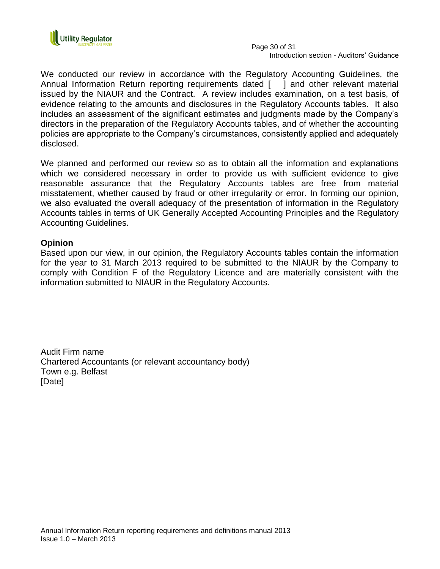

 Page 30 of 31 Introduction section - Auditors' Guidance

We conducted our review in accordance with the Regulatory Accounting Guidelines, the Annual Information Return reporting requirements dated [ ] and other relevant material issued by the NIAUR and the Contract. A review includes examination, on a test basis, of evidence relating to the amounts and disclosures in the Regulatory Accounts tables. It also includes an assessment of the significant estimates and judgments made by the Company"s directors in the preparation of the Regulatory Accounts tables, and of whether the accounting policies are appropriate to the Company"s circumstances, consistently applied and adequately disclosed.

We planned and performed our review so as to obtain all the information and explanations which we considered necessary in order to provide us with sufficient evidence to give reasonable assurance that the Regulatory Accounts tables are free from material misstatement, whether caused by fraud or other irregularity or error. In forming our opinion, we also evaluated the overall adequacy of the presentation of information in the Regulatory Accounts tables in terms of UK Generally Accepted Accounting Principles and the Regulatory Accounting Guidelines.

### **Opinion**

Based upon our view, in our opinion, the Regulatory Accounts tables contain the information for the year to 31 March 2013 required to be submitted to the NIAUR by the Company to comply with Condition F of the Regulatory Licence and are materially consistent with the information submitted to NIAUR in the Regulatory Accounts.

Audit Firm name Chartered Accountants (or relevant accountancy body) Town e.g. Belfast [Date]